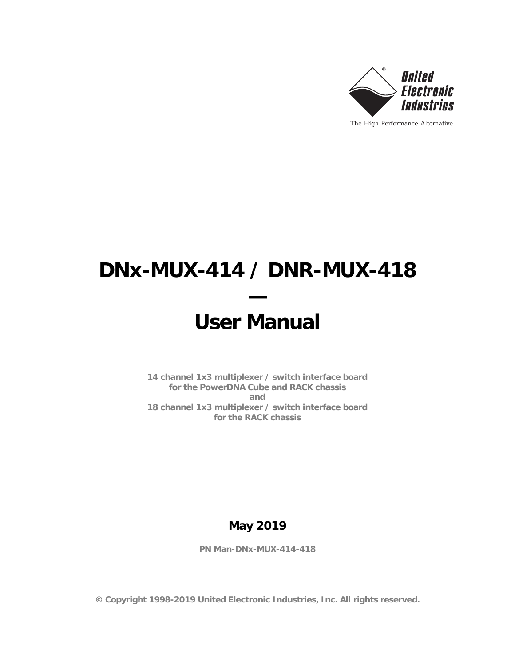

# **DNx-MUX-414 / DNR-MUX-418 —**

# **User Manual**

**14 channel 1x3 multiplexer / switch interface board for the PowerDNA Cube and RACK chassis and 18 channel 1x3 multiplexer / switch interface board for the RACK chassis**

### **May 2019**

**PN Man-DNx-MUX-414-418**

**© Copyright 1998-2019 United Electronic Industries, Inc. All rights reserved.**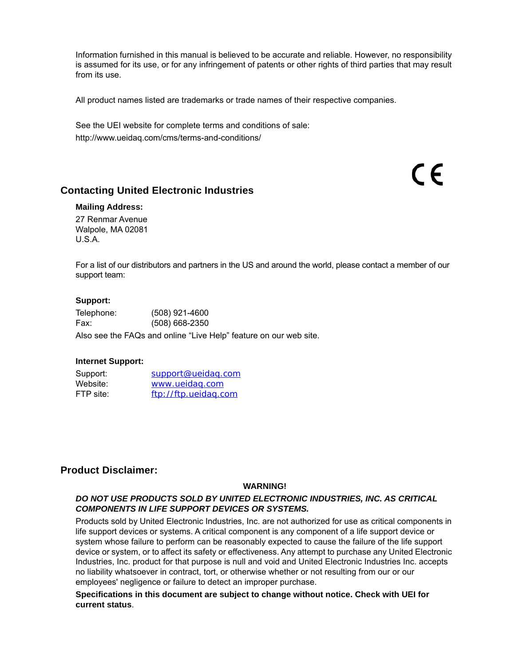Information furnished in this manual is believed to be accurate and reliable. However, no responsibility is assumed for its use, or for any infringement of patents or other rights of third parties that may result from its use.

All product names listed are trademarks or trade names of their respective companies.

See the UEI website for complete terms and conditions of sale: http://www.ueidaq.com/cms/terms-and-conditions/

#### **Contacting United Electronic Industries**

#### **Mailing Address:**

27 Renmar Avenue Walpole, MA 02081 U.S.A.

For a list of our distributors and partners in the US and around the world, please contact a member of our support team:

(  $\epsilon$ 

#### <span id="page-1-0"></span>**[Support:](http://www.ueidaq.com)**

| Telephone: | $(508)$ 921-4600 |
|------------|------------------|
| Fax:       | $(508)$ 668-2350 |

Also see the FAQs and online "Live Help" feature on our web site.

#### **Internet Support:**

<span id="page-1-3"></span><span id="page-1-2"></span><span id="page-1-1"></span>

| Support:  | support@ueidag.com   |
|-----------|----------------------|
| Website:  | www.ueidag.com       |
| FTP site: | ftp://ftp.ueidag.com |

#### **Product Disclaimer:**

#### **WARNING!**

#### *DO NOT USE PRODUCTS SOLD BY UNITED ELECTRONIC INDUSTRIES, INC. AS CRITICAL COMPONENTS IN LIFE SUPPORT DEVICES OR SYSTEMS.*

Products sold by United Electronic Industries, Inc. are not authorized for use as critical components in life support devices or systems. A critical component is any component of a life support device or system whose failure to perform can be reasonably expected to cause the failure of the life support device or system, or to affect its safety or effectiveness. Any attempt to purchase any United Electronic Industries, Inc. product for that purpose is null and void and United Electronic Industries Inc. accepts no liability whatsoever in contract, tort, or otherwise whether or not resulting from our or our employees' negligence or failure to detect an improper purchase.

#### **Specifications in this document are subject to change without notice. Check with UEI for current status**.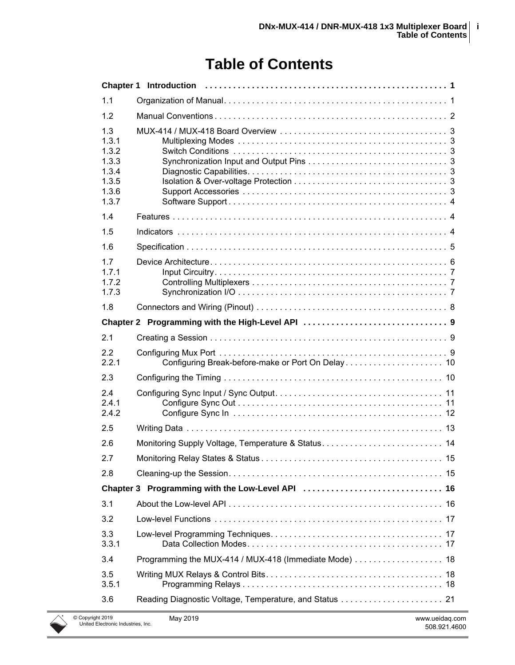## **Table of Contents**

| 1.1                                                                |                                                       |
|--------------------------------------------------------------------|-------------------------------------------------------|
| 1.2                                                                |                                                       |
| 1.3<br>1.3.1<br>1.3.2<br>1.3.3<br>1.3.4<br>1.3.5<br>1.3.6<br>1.3.7 |                                                       |
| 1.4                                                                |                                                       |
| 1.5                                                                |                                                       |
| 1.6                                                                |                                                       |
| 1.7<br>1.7.1<br>1.7.2<br>1.7.3                                     |                                                       |
| 1.8                                                                |                                                       |
|                                                                    |                                                       |
| 2.1                                                                |                                                       |
| 2.2<br>2.2.1                                                       |                                                       |
| 2.3                                                                |                                                       |
| 2.4<br>2.4.1<br>2.4.2                                              |                                                       |
| 2.5                                                                |                                                       |
| 2.6                                                                |                                                       |
| 2.7                                                                |                                                       |
| 2.8                                                                |                                                       |
|                                                                    |                                                       |
| 3.1                                                                |                                                       |
| 3.2                                                                |                                                       |
| 3.3<br>3.3.1                                                       |                                                       |
| 3.4                                                                | Programming the MUX-414 / MUX-418 (Immediate Mode) 18 |
| 3.5<br>3.5.1                                                       |                                                       |
| 3.6                                                                |                                                       |
| 1t 2019<br><b>Electronic Industries Inc.</b>                       | May 2019<br>www.ueidag.com                            |

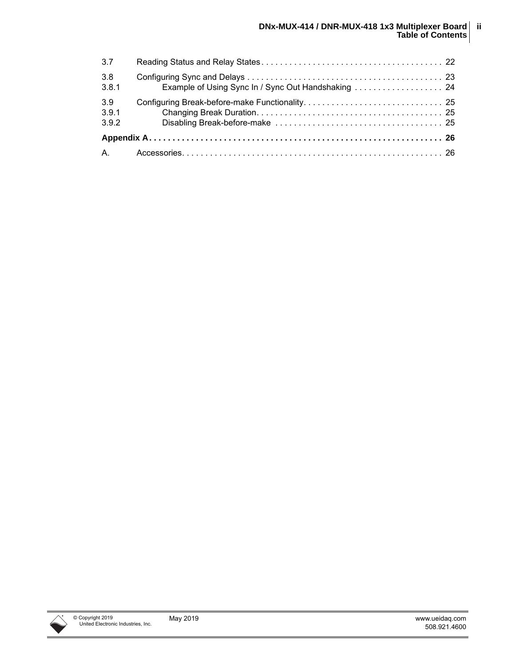| 3.7                   |  |
|-----------------------|--|
| 3.8<br>3.8.1          |  |
| 3.9<br>3.9.1<br>3.9.2 |  |
|                       |  |
|                       |  |

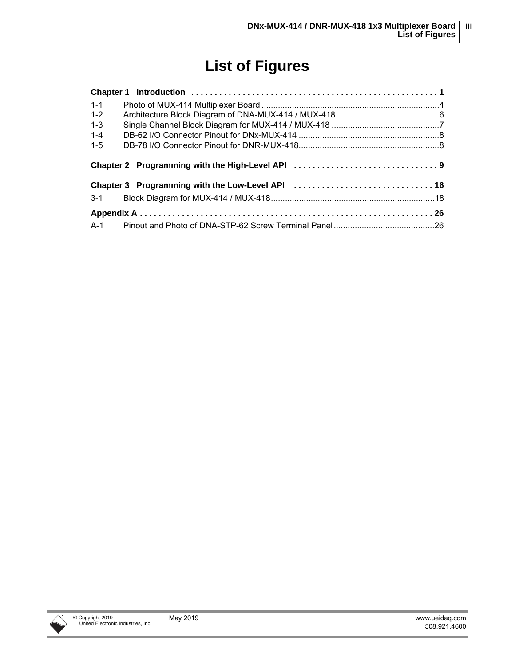## **List of Figures**

| $1 - 1$ |  |
|---------|--|
| $1 - 2$ |  |
| $1 - 3$ |  |
| $1 - 4$ |  |
| $1 - 5$ |  |
|         |  |
|         |  |
|         |  |
|         |  |
|         |  |

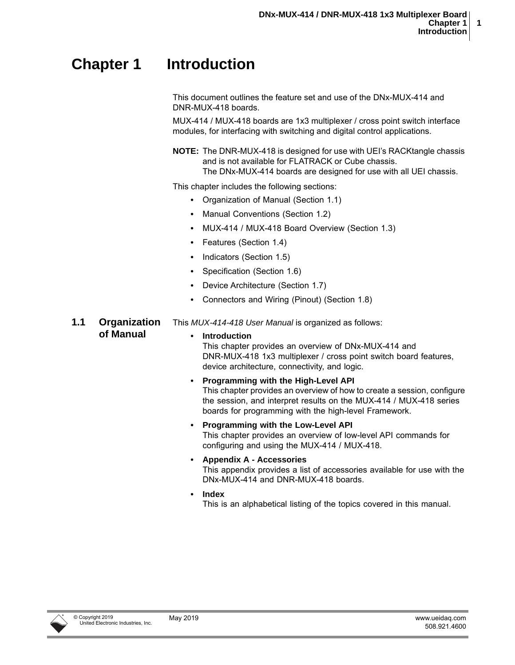## <span id="page-5-0"></span>**Chapter 1 Introduction**

This document outlines the feature set and use of the DNx-MUX-414 and DNR-MUX-418 boards.

MUX-414 / MUX-418 boards are 1x3 multiplexer / cross point switch interface modules, for interfacing with switching and digital control applications.

**NOTE:** The DNR-MUX-418 is designed for use with UEI's RACKtangle chassis and is not available for FLATRACK or Cube chassis. The DNx-MUX-414 boards are designed for use with all UEI chassis.

This chapter includes the following sections:

- **•** [Organization of Manual](#page-5-1) [\(Section 1.1\)](#page-5-1)
- **•** [Manual Conventions \(Section 1.2\)](#page-6-0)
- **•** [MUX-414 / MUX-418 Board Overview \(Section 1.3](#page-7-0))
- **•** [Features](#page-8-1) [\(Section 1.4\)](#page-8-1)
- **•** [Indicators](#page-8-2) ([Section 1.5\)](#page-8-2)
- **•** [Specification \(Section 1.6\)](#page-9-0)
- **•** [Device Architecture](#page-10-0) [\(Section 1.7\)](#page-10-0)
- **•** [Connectors and Wiring \(Pinout\)](#page-12-0) ([Section 1.8](#page-12-0))

This *MUX-414-418 User Manual* is organized as follows:

#### <span id="page-5-2"></span><span id="page-5-1"></span>**1.1 Organization of Manual**

#### **• Introduction**

This chapter provides an overview of DNx-MUX-414 and DNR-MUX-418 1x3 multiplexer / cross point switch board features, device architecture, connectivity, and logic.

- **Programming with the High-Level API** This chapter provides an overview of how to create a session, configure the session, and interpret results on the MUX-414 / MUX-418 series boards for programming with the high-level Framework.
- **Programming with the Low-Level API** This chapter provides an overview of low-level API commands for configuring and using the MUX-414 / MUX-418.
- **Appendix A Accessories** This appendix provides a list of accessories available for use with the DNx-MUX-414 and DNR-MUX-418 boards.
- **Index**
	- This is an alphabetical listing of the topics covered in this manual.

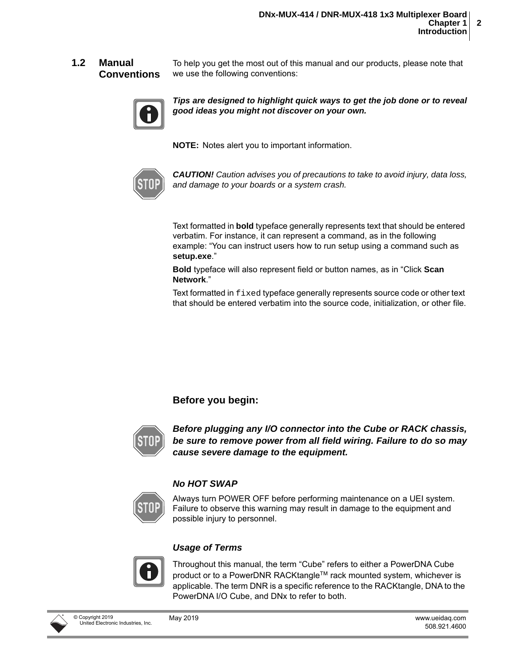#### <span id="page-6-1"></span><span id="page-6-0"></span>**1.2 Manual Conventions**

To help you get the most out of this manual and our products, please note that we use the following conventions:



*Tips are designed to highlight quick ways to get the job done or to reveal good ideas you might not discover on your own.*

**NOTE:** Notes alert you to important information.



*CAUTION! Caution advises you of precautions to take to avoid injury, data loss, and damage to your boards or a system crash.*

Text formatted in **bold** typeface generally represents text that should be entered verbatim. For instance, it can represent a command, as in the following example: "You can instruct users how to run setup using a command such as **setup.exe**."

**Bold** typeface will also represent field or button names, as in "Click **Scan Network**."

Text formatted in fixed typeface generally represents source code or other text that should be entered verbatim into the source code, initialization, or other file.

#### **Before you begin:**



*Before plugging any I/O connector into the Cube or RACK chassis, be sure to remove power from all field wiring. Failure to do so may cause severe damage to the equipment.*

#### *No HOT SWAP*



Always turn POWER OFF before performing maintenance on a UEI system. Failure to observe this warning may result in damage to the equipment and possible injury to personnel.

#### *Usage of Terms*



Throughout this manual, the term "Cube" refers to either a PowerDNA Cube product or to a PowerDNR RACKtangle™ rack mounted system, whichever is applicable. The term DNR is a specific reference to the RACKtangle, DNA to the PowerDNA I/O Cube, and DNx to refer to both.

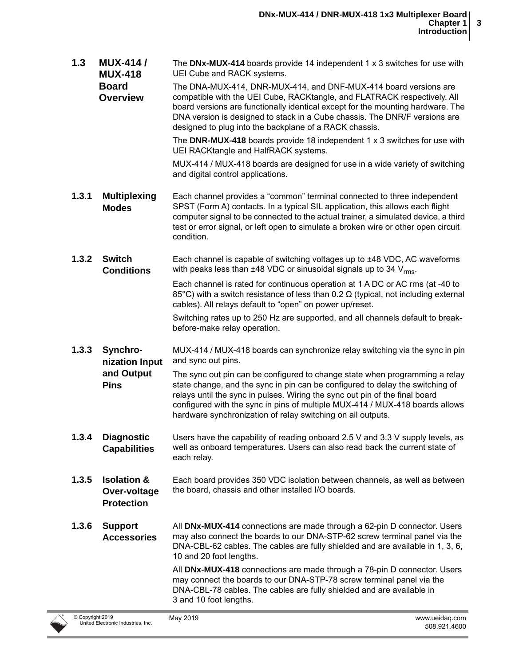<span id="page-7-6"></span><span id="page-7-5"></span><span id="page-7-4"></span><span id="page-7-3"></span><span id="page-7-2"></span><span id="page-7-1"></span><span id="page-7-0"></span>**1.3 MUX-414 / MUX-418 Board Overview** The **DNx-MUX-414** boards provide 14 independent 1 x 3 switches for use with UEI Cube and RACK systems. The DNA-MUX-414, DNR-MUX-414, and DNF-MUX-414 board versions are compatible with the UEI Cube, RACKtangle, and FLATRACK respectively. All board versions are functionally identical except for the mounting hardware. The DNA version is designed to stack in a Cube chassis. The DNR/F versions are designed to plug into the backplane of a RACK chassis. The **DNR-MUX-418** boards provide 18 independent 1 x 3 switches for use with UEI RACKtangle and HalfRACK systems. MUX-414 / MUX-418 boards are designed for use in a wide variety of switching and digital control applications. **1.3.1 Multiplexing Modes** Each channel provides a "common" terminal connected to three independent SPST (Form A) contacts. In a typical SIL application, this allows each flight computer signal to be connected to the actual trainer, a simulated device, a third test or error signal, or left open to simulate a broken wire or other open circuit condition. **1.3.2 Switch Conditions**  Each channel is capable of switching voltages up to ±48 VDC, AC waveforms with peaks less than  $\pm 48$  VDC or sinusoidal signals up to 34 V<sub>rms</sub>. Each channel is rated for continuous operation at 1 A DC or AC rms (at -40 to 85°C) with a switch resistance of less than 0.2  $\Omega$  (typical, not including external cables). All relays default to "open" on power up/reset. Switching rates up to 250 Hz are supported, and all channels default to breakbefore-make relay operation. **1.3.3 Synchronization Input and Output Pins** MUX-414 / MUX-418 boards can synchronize relay switching via the sync in pin and sync out pins. The sync out pin can be configured to change state when programming a relay state change, and the sync in pin can be configured to delay the switching of relays until the sync in pulses. Wiring the sync out pin of the final board configured with the sync in pins of multiple MUX-414 / MUX-418 boards allows hardware synchronization of relay switching on all outputs. **1.3.4 Diagnostic Capabilities**  Users have the capability of reading onboard 2.5 V and 3.3 V supply levels, as well as onboard temperatures. Users can also read back the current state of each relay. **1.3.5 Isolation & Over-voltage Protection** Each board provides 350 VDC isolation between channels, as well as between the board, chassis and other installed I/O boards. **1.3.6 Support Accessories** All **DNx-MUX-414** connections are made through a 62-pin D connector. Users may also connect the boards to our DNA-STP-62 screw terminal panel via the DNA-CBL-62 cables. The cables are fully shielded and are available in 1, 3, 6, 10 and 20 foot lengths. All **DNx-MUX-418** connections are made through a 78-pin D connector. Users may connect the boards to our DNA-STP-78 screw terminal panel via the DNA-CBL-78 cables. The cables are fully shielded and are available in 3 and 10 foot lengths.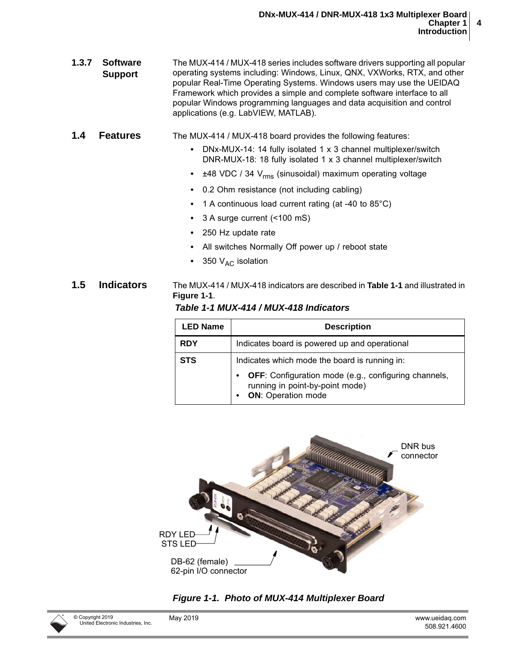<span id="page-8-0"></span>

| 1.3.7 | <b>Software</b> | The MUX-414 / MUX-418 series includes software drivers supporting all popular |
|-------|-----------------|-------------------------------------------------------------------------------|
|       | <b>Support</b>  | operating systems including: Windows, Linux, QNX, VXWorks, RTX, and other     |
|       |                 | popular Real-Time Operating Systems. Windows users may use the UEIDAQ         |
|       |                 | Framework which provides a simple and complete software interface to all      |
|       |                 | popular Windows programming languages and data acquisition and control        |
|       |                 | applications (e.g. LabVIEW, MATLAB).                                          |

#### <span id="page-8-1"></span>**1.4 Features** The MUX-414 / MUX-418 board provides the following features:

- **•** DNx-MUX-14: 14 fully isolated 1 x 3 channel multiplexer/switch DNR-MUX-18: 18 fully isolated 1 x 3 channel multiplexer/switch
- ±48 VDC / 34 V<sub>rms</sub> (sinusoidal) maximum operating voltage
- **•** 0.2 Ohm resistance (not including cabling)
- **•** 1 A continuous load current rating (at -40 to 85°C)
- **•** 3 A surge current (<100 mS)
- **•** 250 Hz update rate
- **•** All switches Normally Off power up / reboot state
- 350 V<sub>AC</sub> isolation

#### <span id="page-8-2"></span>**1.5 Indicators** The MUX-414 / MUX-418 indicators are described in **[Table 1-1](#page-8-4)** and illustrated in **[Figure 1-1](#page-8-3)**.

<span id="page-8-4"></span>*Table 1-1 MUX-414 / MUX-418 Indicators*

| <b>LED Name</b> | <b>Description</b>                                                                                                   |  |  |  |  |  |
|-----------------|----------------------------------------------------------------------------------------------------------------------|--|--|--|--|--|
| <b>RDY</b>      | Indicates board is powered up and operational                                                                        |  |  |  |  |  |
| <b>STS</b>      | Indicates which mode the board is running in:                                                                        |  |  |  |  |  |
|                 | OFF: Configuration mode (e.g., configuring channels,<br>running in point-by-point mode)<br><b>ON:</b> Operation mode |  |  |  |  |  |



<span id="page-8-3"></span>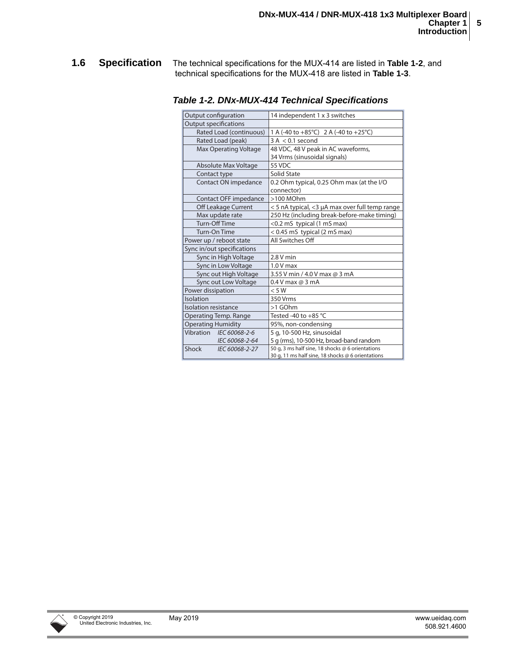<span id="page-9-0"></span>**1.6 Specification** The technical specifications for the MUX-414 are listed in **[Table 1-2](#page-9-1)**, and technical specifications for the MUX-418 are listed in **[Table 1-3](#page-10-2)**.

<span id="page-9-2"></span>

| Output configuration       | 14 independent 1 x 3 switches                     |  |  |
|----------------------------|---------------------------------------------------|--|--|
| Output specifications      |                                                   |  |  |
| Rated Load (continuous)    | 1 A (-40 to +85°C) 2 A (-40 to +25°C)             |  |  |
| Rated Load (peak)          | $3 A < 0.1$ second                                |  |  |
| Max Operating Voltage      | 48 VDC, 48 V peak in AC waveforms,                |  |  |
|                            | 34 Vrms (sinusoidal signals)                      |  |  |
| Absolute Max Voltage       | 55 VDC                                            |  |  |
| Contact type               | Solid State                                       |  |  |
| Contact ON impedance       | 0.2 Ohm typical, 0.25 Ohm max (at the I/O         |  |  |
|                            | connector)                                        |  |  |
| Contact OFF impedance      | $>100$ MOhm                                       |  |  |
| Off Leakage Current        | < 5 nA typical, <3 µA max over full temp range    |  |  |
| Max update rate            | 250 Hz (including break-before-make timing)       |  |  |
| Turn-Off Time              | <0.2 mS typical (1 mS max)                        |  |  |
| Turn-On Time               | < 0.45 mS typical (2 mS max)                      |  |  |
| Power up / reboot state    | All Switches Off                                  |  |  |
| Sync in/out specifications |                                                   |  |  |
| Sync in High Voltage       | $2.8V$ min                                        |  |  |
| Sync in Low Voltage        | $1.0V$ max                                        |  |  |
| Sync out High Voltage      | 3.55 V min / 4.0 V max @ 3 mA                     |  |  |
| Sync out Low Voltage       | 0.4 V max @ 3 mA                                  |  |  |
| Power dissipation          | < 5 W                                             |  |  |
| Isolation                  | 350 Vrms                                          |  |  |
| Isolation resistance       | >1 GOhm                                           |  |  |
| Operating Temp. Range      | Tested -40 to $+85$ °C                            |  |  |
| <b>Operating Humidity</b>  | 95%, non-condensing                               |  |  |
| Vibration IEC 60068-2-6    | 5 g, 10-500 Hz, sinusoidal                        |  |  |
| IEC 60068-2-64             | 5 g (rms), 10-500 Hz, broad-band random           |  |  |
| Shock<br>IEC 60068-2-27    | 50 g, 3 ms half sine, 18 shocks @ 6 orientations  |  |  |
|                            | 30 g, 11 ms half sine, 18 shocks @ 6 orientations |  |  |

<span id="page-9-1"></span>*Table 1-2. DNx-MUX-414 Technical Specifications* **p**

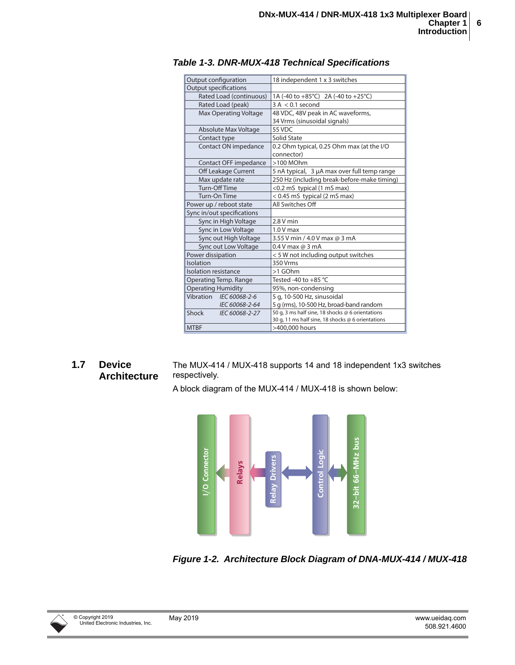<span id="page-10-5"></span>

| Output configuration         | 18 independent 1 x 3 switches                     |  |  |
|------------------------------|---------------------------------------------------|--|--|
| <b>Output specifications</b> |                                                   |  |  |
| Rated Load (continuous)      | 1A (-40 to +85°C) 2A (-40 to +25°C)               |  |  |
| Rated Load (peak)            | $3 A < 0.1$ second                                |  |  |
| Max Operating Voltage        | 48 VDC, 48V peak in AC waveforms,                 |  |  |
|                              | 34 Vrms (sinusoidal signals)                      |  |  |
| <b>Absolute Max Voltage</b>  | 55 VDC                                            |  |  |
| Contact type                 | Solid State                                       |  |  |
| Contact ON impedance         | 0.2 Ohm typical, 0.25 Ohm max (at the I/O         |  |  |
|                              | connector)                                        |  |  |
| Contact OFF impedance        | $>100$ MOhm                                       |  |  |
| Off Leakage Current          | 5 nA typical, 3 µA max over full temp range       |  |  |
| Max update rate              | 250 Hz (including break-before-make timing)       |  |  |
| <b>Turn-Off Time</b>         | <0.2 mS typical (1 mS max)                        |  |  |
| Turn-On Time                 | < 0.45 mS typical (2 mS max)                      |  |  |
| Power up / reboot state      | All Switches Off                                  |  |  |
| Sync in/out specifications   |                                                   |  |  |
| Sync in High Voltage         | $2.8V$ min                                        |  |  |
| Sync in Low Voltage          | $1.0V$ max                                        |  |  |
| Sync out High Voltage        | 3.55 V min / 4.0 V max @ 3 mA                     |  |  |
| Sync out Low Voltage         | 0.4 V max @ 3 mA                                  |  |  |
| Power dissipation            | < 5 W not including output switches               |  |  |
| Isolation                    | 350 Vrms                                          |  |  |
| Isolation resistance         | >1 GOhm                                           |  |  |
| Operating Temp. Range        | Tested -40 to +85 $°C$                            |  |  |
| <b>Operating Humidity</b>    | 95%, non-condensing                               |  |  |
| Vibration IEC 60068-2-6      | 5 g, 10-500 Hz, sinusoidal                        |  |  |
| IEC 60068-2-64               | 5 g (rms), 10-500 Hz, broad-band random           |  |  |
| Shock<br>IEC 60068-2-27      | 50 g, 3 ms half sine, 18 shocks @ 6 orientations  |  |  |
|                              | 30 g, 11 ms half sine, 18 shocks @ 6 orientations |  |  |
| <b>MTBF</b>                  | >400,000 hours                                    |  |  |

#### <span id="page-10-2"></span>*Table 1-3. DNR-MUX-418 Technical Specifications*

#### <span id="page-10-0"></span>**1.7 Device Architecture**

<span id="page-10-3"></span>The MUX-414 / MUX-418 supports 14 and 18 independent 1x3 switches respectively.

A block diagram of the MUX-414 / MUX-418 is shown below:



<span id="page-10-4"></span><span id="page-10-1"></span>*Figure 1-2. Architecture Block Diagram of DNA-MUX-414 / MUX-418*

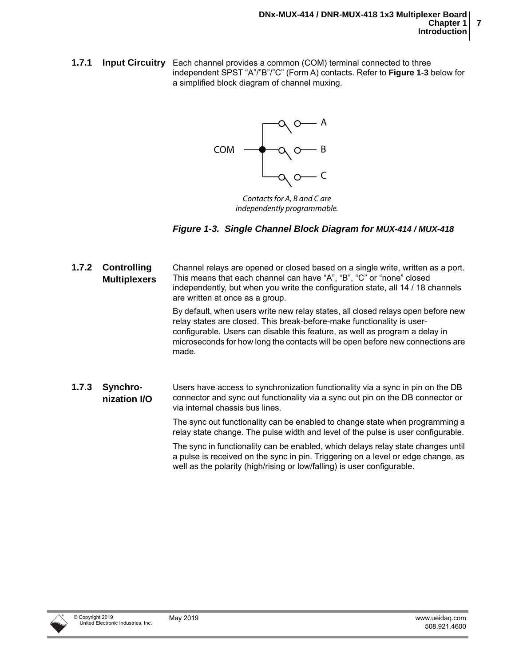<span id="page-11-0"></span>**1.7.1 Input Circuitry** Each channel provides a common (COM) terminal connected to three independent SPST "A"/"B"/"C" (Form A) contacts. Refer to **[Figure 1-3](#page-11-3)** below for a simplified block diagram of channel muxing.



Contacts for A, B and C are independently programmable.

#### <span id="page-11-3"></span>*Figure 1-3. Single Channel Block Diagram for MUX-414 / MUX-418*

<span id="page-11-2"></span><span id="page-11-1"></span>**1.7.2 Controlling Multiplexers** Channel relays are opened or closed based on a single write, written as a port. This means that each channel can have "A", "B", "C" or "none" closed independently, but when you write the configuration state, all 14 / 18 channels are written at once as a group. By default, when users write new relay states, all closed relays open before new relay states are closed. This break-before-make functionality is userconfigurable. Users can disable this feature, as well as program a delay in microseconds for how long the contacts will be open before new connections are made. **1.7.3 Synchronization I/O** Users have access to synchronization functionality via a sync in pin on the DB connector and sync out functionality via a sync out pin on the DB connector or via internal chassis bus lines. The sync out functionality can be enabled to change state when programming a relay state change. The pulse width and level of the pulse is user configurable. The sync in functionality can be enabled, which delays relay state changes until a pulse is received on the sync in pin. Triggering on a level or edge change, as

well as the polarity (high/rising or low/falling) is user configurable.

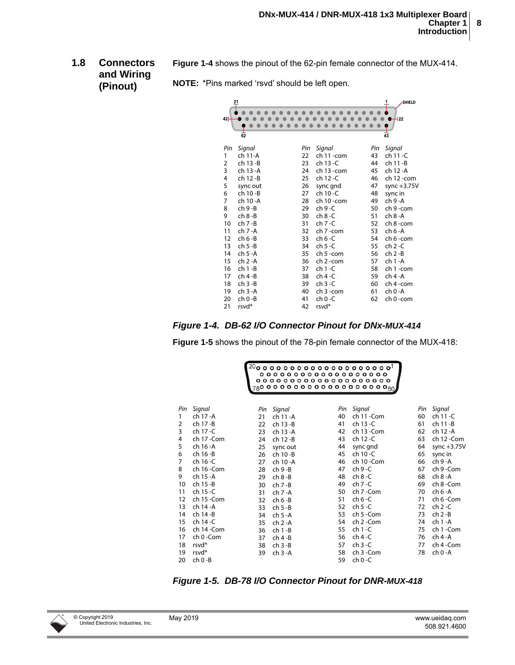**SHIELD**

499

<span id="page-12-0"></span>**1.8 Connectors and Wiring (Pinout) [Figure 1-4](#page-12-1)** shows the pinout of the 62-pin female connector of the MUX-414.

<span id="page-12-3"></span>

|                |             | OTE: "Pins marked 'rsvd' should be left open. |            |             |                 |
|----------------|-------------|-----------------------------------------------|------------|-------------|-----------------|
|                |             |                                               |            |             |                 |
| 42             |             |                                               |            |             |                 |
|                | 62          |                                               |            |             | $\overline{43}$ |
| Pin            | Signal      | Pin                                           | Signal     | Pin         | -S              |
|                | ch 11-A     | 22                                            | ch 11-com  | 43          | C               |
| $\overline{2}$ | ch 13 - B   | 23                                            | ch 13 - C  | 44          | C               |
| 3              | ch 13 - A   | 24                                            | ch 13 -com | 45          | C               |
| 4              | ch 12 - B   | 25                                            | ch 12 - C  | 46          | C               |
| 5              | sync out    | 26                                            | sync gnd   | 47          | S               |
| c              | $ch$ 10 $D$ | דר                                            | 5.10C      | $\Lambda$ O | $\mathbf{r}$    |

**NOTE:** \*Pins marked 'rsvd' should be left open.

| Pin | Signal     | Pin | Signal      | Pin | Signal        |
|-----|------------|-----|-------------|-----|---------------|
| 1   | ch 11-A    | 22  | ch 11-com   | 43  | ch 11 -C      |
| 2   | ch 13 -B   | 23  | ch 13 - C   | 44  | ch 11 -B      |
| 3   | ch 13 - A  | 24  | ch 13 - com | 45  | ch 12 - A     |
| 4   | ch 12 -B   | 25  | ch 12 - C   | 46  | ch 12 - com   |
| 5   | sync out   | 26  | sync gnd    | 47  | sync $+3.75V$ |
| 6   | ch 10 -B   | 27  | ch 10 -C    | 48  | sync in       |
| 7   | ch 10 - A  | 28  | ch 10-com   | 49  | ch 9 - A      |
| 8   | ch 9 -B    | 29  | ch 9 -C     | 50  | ch 9-com      |
| 9   | ch 8 -B    | 30  | ch 8 -C     | 51  | ch 8 - A      |
| 10  | $ch 7 - B$ | 31  | ch 7 -C     | 52  | ch 8 -com     |
| 11  | ch 7 -A    | 32  | ch 7 -com   | 53  | ch 6 - A      |
| 12  | $ch 6-B$   | 33  | ch 6 -C     | 54  | ch 6 -com     |
| 13  | ch 5 -B    | 34  | $ch 5 - C$  | 55  | ch 2 -C       |
| 14  | ch 5 - A   | 35  | ch 5 -com   | 56  | ch 2 -B       |
| 15  | $ch 2 - A$ | 36  | ch 2 -com   | 57  | ch 1 - A      |
| 16  | ch 1 -B    | 37  | $ch 1 - C$  | 58  | ch 1-com      |
| 17  | $ch 4-B$   | 38  | $ch 4-C$    | 59  | ch 4 - A      |
| 18  | $ch3-B$    | 39  | $ch3-C$     | 60  | ch 4 -com     |
| 19  | $ch3-A$    | 40  | ch 3 -com   | 61  | $ch 0 - A$    |
| 20  | ch 0 -B    | 41  | ch 0 -C     | 62  | ch 0 -com     |
| 21  | rsvd*      | 42  | rsvd*       |     |               |

<span id="page-12-1"></span>

**[Figure 1-5](#page-12-2)** shows the pinout of the 78-pin female connector of the MUX-418:

|          |                     |           |                      | $^{20}$ o o o o o o o o o o o o o o o o o $^{1}$<br>000000000000000000<br>00000000000000000000 | $_{78}$ o o o o o o o o o o o o o o o o o $_{60}$ |           |                     |
|----------|---------------------|-----------|----------------------|------------------------------------------------------------------------------------------------|---------------------------------------------------|-----------|---------------------|
|          |                     |           |                      |                                                                                                |                                                   |           |                     |
| Pin<br>1 | Signal<br>ch 17 - A | Pin<br>21 | Signal<br>ch 11 - A  | Pin<br>40                                                                                      | Signal<br>ch 11 - Com                             | Pin<br>60 | Signal<br>ch 11 - C |
| 2        | ch 17 - B           | 22        | ch 13 - B            | 41                                                                                             | ch 13 - C                                         | 61        | ch 11 -B            |
| 3        | ch 17 -C            | 23        | ch 13 - A            | 42                                                                                             | ch 13 - Com                                       | 62        | ch 12 -A            |
| 4        | ch 17 - Com         | 24        | ch 12 - B            | 43                                                                                             | ch 12 - C                                         | 63        | ch 12 - Com         |
| 5        | ch 16 - A           | 25        |                      | 44                                                                                             | sync gnd                                          | 64        | sync $+3.75V$       |
| 6        | ch 16 -B            | 26        | sync out<br>ch 10 -B | 45                                                                                             | ch 10 -C                                          | 65        | sync in             |
| 7        | ch 16 - C           | 27        | ch 10 - A            | 46                                                                                             | ch 10 - Com                                       | 66        | ch 9 - A            |
| 8        | ch 16 - Com         | 28        | $ch9-B$              | 47                                                                                             | $ch 9 - C$                                        | 67        | ch 9 - Com          |
| 9        | ch 15 - A           | 29        | $ch 8-B$             | 48                                                                                             | $ch 8 - C$                                        | 68        | ch 8 - A            |
| 10       | ch 15 -B            | 30        | $ch 7 - B$           | 49                                                                                             | $ch 7-C$                                          | 69        | ch 8 - Com          |
| 11       | ch 15 - C           | 31        | $ch 7 - A$           | 50                                                                                             | ch 7 - Com                                        | 70        | ch 6 -A             |
| 12       | ch 15 - Com         | 32        | $ch 6-B$             | 51                                                                                             | ch $6 - C$                                        | 71        | ch 6 - Com          |
| 13       | ch 14 - A           | 33        | ch 5 -B              | 52                                                                                             | $ch5 - C$                                         | 72        | $ch 2-C$            |
| 14       | ch 14 -B            | 34        | $ch5-A$              | 53                                                                                             | ch 5 - Com                                        | 73        | $ch 2-B$            |
| 15       | ch 14 - C           | 35        | $ch 2 - A$           | 54                                                                                             | ch 2 - Com                                        | 74        | ch 1 - A            |
| 16       | ch 14 - Com         | 36        | $ch 1 - B$           | 55                                                                                             | $ch 1 - C$                                        | 75        | ch 1 - Com          |
| 17       | ch 0 - Com          | 37        | $ch 4-B$             | 56                                                                                             | $ch 4-C$                                          | 76        | $ch$ 4 -A           |
| 18       | rsvd <sup>*</sup>   | 38        | $ch 3 - B$           | 57                                                                                             | $ch 3 - C$                                        | 77        | ch 4 - Com          |
| 19       | rsvd <sup>*</sup>   | 39        | ch 3 - A             | 58                                                                                             | ch 3 - Com                                        | 78        | ch 0 -A             |
| 20       | ch 0 -B             |           |                      | 59                                                                                             | $ch 0 - C$                                        |           |                     |

<span id="page-12-2"></span>*Figure 1-5. DB-78 I/O Connector Pinout for DNR-MUX-418*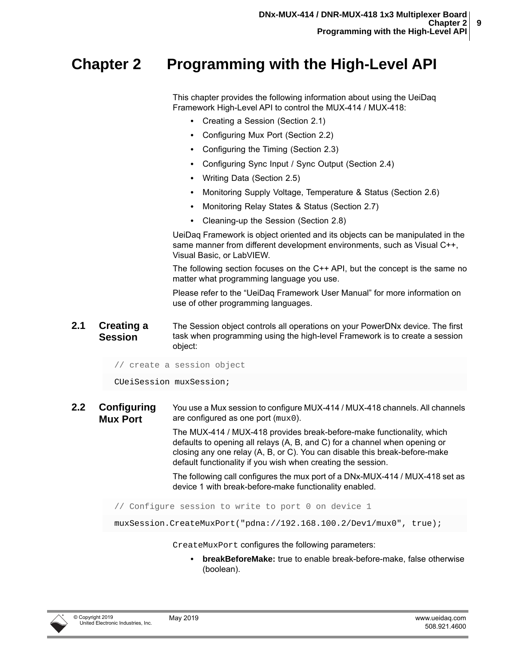## <span id="page-13-0"></span>**Chapter 2 Programming with the High-Level API**

<span id="page-13-3"></span>This chapter provides the following information about using the UeiDaq Framework High-Level API to control the MUX-414 / MUX-418:

- <span id="page-13-5"></span>**•** [Creating a Session \(Section 2.1\)](#page-13-1)
- **•** [Configuring Mux Port](#page-13-2) ([Section 2.2](#page-13-2))
- **•** [Configuring the Timing](#page-14-1) ([Section 2.3](#page-14-1))
- **•** [Configuring Sync Input / Sync Output](#page-15-0) ([Section 2.4](#page-15-0))
- **•** [Writing Data](#page-17-0) ([Section 2.5\)](#page-17-0)
- **•** [Monitoring Supply Voltage, Temperature & Status \(Section 2.6](#page-18-0))
- **•** [Monitoring Relay States & Status \(Section 2.7](#page-19-0))
- **•** [Cleaning-up the Session](#page-19-1) ([Section 2.8](#page-19-1))

UeiDaq Framework is object oriented and its objects can be manipulated in the same manner from different development environments, such as Visual C++, Visual Basic, or LabVIEW.

The following section focuses on the C++ API, but the concept is the same no matter what programming language you use.

Please refer to the "UeiDaq Framework User Manual" for more information on use of other programming languages.

#### <span id="page-13-4"></span><span id="page-13-1"></span>**2.1 Creating a Session** The Session object controls all operations on your PowerDNx device. The first task when programming using the high-level Framework is to create a session object:

// create a session object

CUeiSession muxSession;

<span id="page-13-2"></span>**2.2 Configuring Mux Port** You use a Mux session to configure MUX-414 / MUX-418 channels. All channels are configured as one port (mux0).

> The MUX-414 / MUX-418 provides break-before-make functionality, which defaults to opening all relays (A, B, and C) for a channel when opening or closing any one relay (A, B, or C). You can disable this break-before-make default functionality if you wish when creating the session.

The following call configures the mux port of a DNx-MUX-414 / MUX-418 set as device 1 with break-before-make functionality enabled.

// Configure session to write to port 0 on device 1

muxSession.CreateMuxPort("pdna://192.168.100.2/Dev1/mux0", true);

CreateMuxPort configures the following parameters:

**• breakBeforeMake:** true to enable break-before-make, false otherwise (boolean).

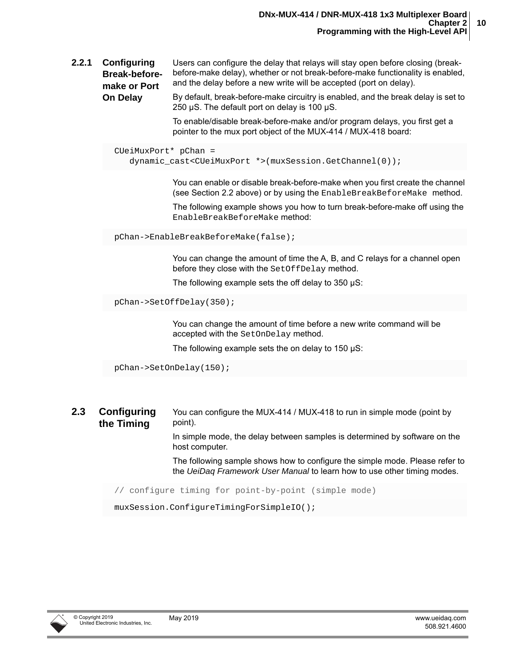<span id="page-14-0"></span>**2.2.1 Configuring Break-beforemake or Port**  Users can configure the delay that relays will stay open before closing (breakbefore-make delay), whether or not break-before-make functionality is enabled, and the delay before a new write will be accepted (port on delay).

**On Delay** By default, break-before-make circuitry is enabled, and the break delay is set to 250 µS. The default port on delay is 100 µS.

> To enable/disable break-before-make and/or program delays, you first get a pointer to the mux port object of the MUX-414 / MUX-418 board:

```
CUeiMuxPort* pChan =
   dynamic_cast<CUeiMuxPort *>(muxSession.GetChannel(0));
```
You can enable or disable break-before-make when you first create the channel (see [Section 2.2](#page-13-2) above) or by using the EnableBreakBeforeMake method.

The following example shows you how to turn break-before-make off using the EnableBreakBeforeMake method:

pChan->EnableBreakBeforeMake(false);

You can change the amount of time the A, B, and C relays for a channel open before they close with the Set Of fDelay method.

The following example sets the off delay to 350 µS:

```
pChan->SetOffDelay(350);
```
You can change the amount of time before a new write command will be accepted with the SetOnDelay method.

The following example sets the on delay to 150  $\mu$ S:

```
pChan->SetOnDelay(150);
```
<span id="page-14-1"></span>**2.3 Configuring the Timing** You can configure the MUX-414 / MUX-418 to run in simple mode (point by point).

> In simple mode, the delay between samples is determined by software on the host computer.

The following sample shows how to configure the simple mode. Please refer to the *UeiDaq Framework User Manual* to learn how to use other timing modes.

// configure timing for point-by-point (simple mode)

muxSession.ConfigureTimingForSimpleIO();

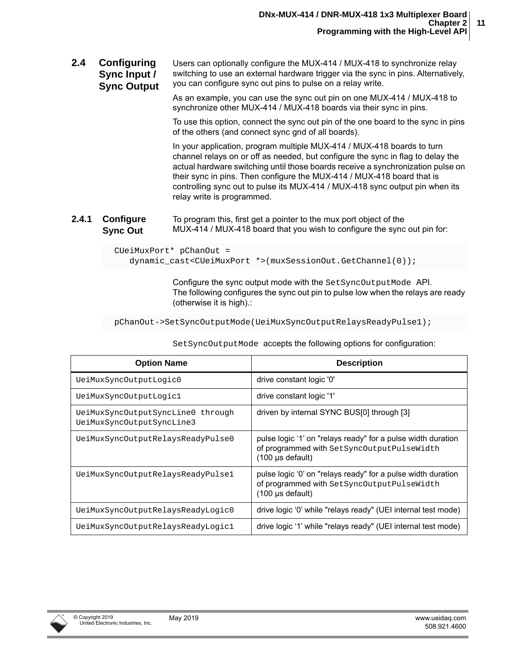<span id="page-15-0"></span>**2.4 Configuring Sync Input / Sync Output** Users can optionally configure the MUX-414 / MUX-418 to synchronize relay switching to use an external hardware trigger via the sync in pins. Alternatively, you can configure sync out pins to pulse on a relay write.

> As an example, you can use the sync out pin on one MUX-414 / MUX-418 to synchronize other MUX-414 / MUX-418 boards via their sync in pins.

To use this option, connect the sync out pin of the one board to the sync in pins of the others (and connect sync gnd of all boards).

In your application, program multiple MUX-414 / MUX-418 boards to turn channel relays on or off as needed, but configure the sync in flag to delay the actual hardware switching until those boards receive a synchronization pulse on their sync in pins. Then configure the MUX-414 / MUX-418 board that is controlling sync out to pulse its MUX-414 / MUX-418 sync output pin when its relay write is programmed.

<span id="page-15-1"></span>**2.4.1 Configure Sync Out** To program this, first get a pointer to the mux port object of the MUX-414 / MUX-418 board that you wish to configure the sync out pin for:

> CUeiMuxPort\* pChanOut = dynamic\_cast<CUeiMuxPort \*>(muxSessionOut.GetChannel(0));

> > Configure the sync output mode with the SetSyncOutputMode API. The following configures the sync out pin to pulse low when the relays are ready (otherwise it is high).:

pChanOut->SetSyncOutputMode(UeiMuxSyncOutputRelaysReadyPulse1);

| <b>Option Name</b>                                             | <b>Description</b>                                                                                                                          |
|----------------------------------------------------------------|---------------------------------------------------------------------------------------------------------------------------------------------|
| UeiMuxSyncOutputLogic0                                         | drive constant logic '0'                                                                                                                    |
| UeiMuxSyncOutputLogic1                                         | drive constant logic '1'                                                                                                                    |
| UeiMuxSyncOutputSyncLine0 through<br>UeiMuxSyncOutputSyncLine3 | driven by internal SYNC BUS[0] through [3]                                                                                                  |
| UeiMuxSyncOutputRelaysReadyPulse0                              | pulse logic '1' on "relays ready" for a pulse width duration<br>of programmed with SetSyncOutputPulseWidth<br>$(100 \mu s \text{ default})$ |
| UeiMuxSyncOutputRelaysReadyPulse1                              | pulse logic '0' on "relays ready" for a pulse width duration<br>of programmed with SetSyncOutputPulseWidth<br>$(100 \text{ µs}$ default)    |
| UeiMuxSyncOutputRelaysReadyLogic0                              | drive logic '0' while "relays ready" (UEI internal test mode)                                                                               |
| UeiMuxSyncOutputRelaysReadyLogic1                              | drive logic '1' while "relays ready" (UEI internal test mode)                                                                               |

SetSyncOutputMode accepts the following options for configuration:

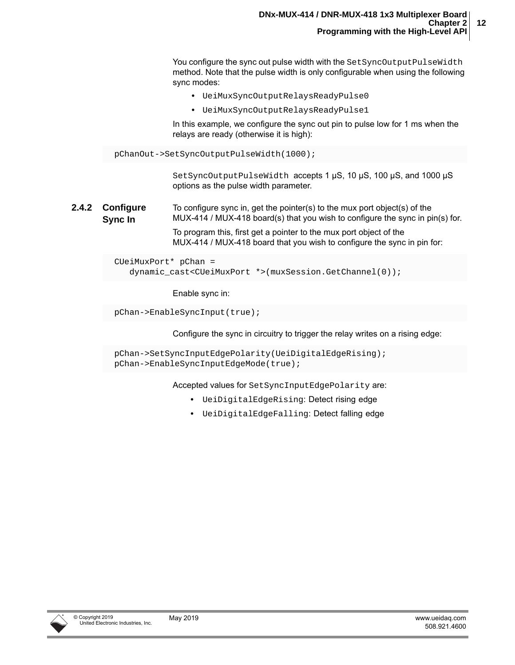You configure the sync out pulse width with the SetSyncOutputPulseWidth method. Note that the pulse width is only configurable when using the following sync modes:

- **•** UeiMuxSyncOutputRelaysReadyPulse0
- **•** UeiMuxSyncOutputRelaysReadyPulse1

In this example, we configure the sync out pin to pulse low for 1 ms when the relays are ready (otherwise it is high):

pChanOut->SetSyncOutputPulseWidth(1000);

SetSyncOutputPulseWidth accepts 1 µS, 10 µS, 100 µS, and 1000 µS options as the pulse width parameter.

#### <span id="page-16-0"></span>**2.4.2 Configure Sync In** To configure sync in, get the pointer(s) to the mux port object(s) of the MUX-414 / MUX-418 board(s) that you wish to configure the sync in pin(s) for.

To program this, first get a pointer to the mux port object of the MUX-414 / MUX-418 board that you wish to configure the sync in pin for:

CUeiMuxPort\* pChan = dynamic\_cast<CUeiMuxPort \*>(muxSession.GetChannel(0));

Enable sync in:

pChan->EnableSyncInput(true);

Configure the sync in circuitry to trigger the relay writes on a rising edge:

```
pChan->SetSyncInputEdgePolarity(UeiDigitalEdgeRising);
pChan->EnableSyncInputEdgeMode(true);
```
Accepted values for SetSyncInputEdgePolarity are:

- **•** UeiDigitalEdgeRising: Detect rising edge
- **•** UeiDigitalEdgeFalling: Detect falling edge

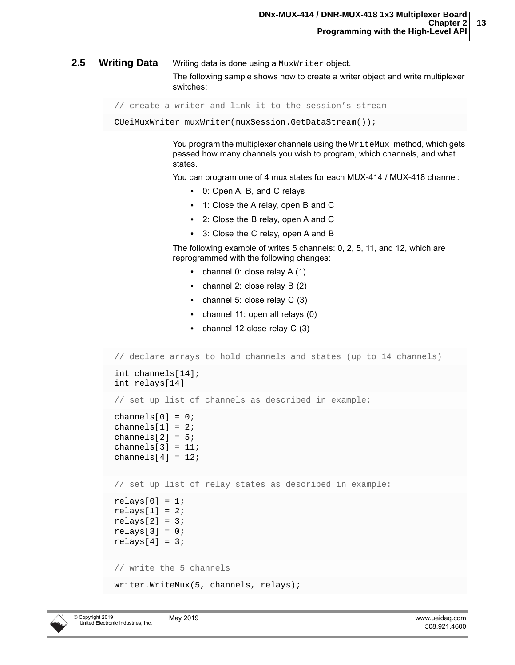<span id="page-17-0"></span>**2.5 Writing Data** Writing data is done using a MuxWriter object. The following sample shows how to create a writer object and write multiplexer switches:

```
// create a writer and link it to the session's stream
```
CUeiMuxWriter muxWriter(muxSession.GetDataStream());

You program the multiplexer channels using the  $W\text{ritem}$  method, which gets passed how many channels you wish to program, which channels, and what states.

You can program one of 4 mux states for each MUX-414 / MUX-418 channel:

- **•** 0: Open A, B, and C relays
- **•** 1: Close the A relay, open B and C
- **•** 2: Close the B relay, open A and C
- **•** 3: Close the C relay, open A and B

The following example of writes 5 channels: 0, 2, 5, 11, and 12, which are reprogrammed with the following changes:

- **•** channel 0: close relay A (1)
- **•** channel 2: close relay B (2)
- **•** channel 5: close relay C (3)
- **•** channel 11: open all relays (0)
- **•** channel 12 close relay C (3)

// declare arrays to hold channels and states (up to 14 channels) int channels[14]; int relays[14] // set up list of channels as described in example: channels $[0] = 0$ ; channels $[1] = 2i$ channels $[2] = 5$ ; channels $[3] = 11$ ; channels $[4] = 12$ ; // set up list of relay states as described in example:  $relays[0] = 1;$  $relays[1] = 2;$  $relays[2] = 3;$  $relays[3] = 0;$  $relays[4] = 3;$ // write the 5 channels writer.WriteMux(5, channels, relays);

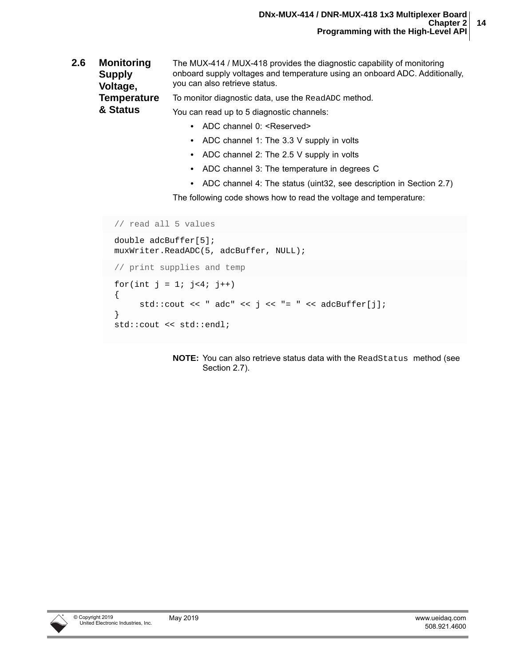#### <span id="page-18-0"></span>**2.6 Monitoring Supply Voltage, Temperature & Status** The MUX-414 / MUX-418 provides the diagnostic capability of monitoring onboard supply voltages and temperature using an onboard ADC. Additionally, you can also retrieve status. To monitor diagnostic data, use the ReadADC method. You can read up to 5 diagnostic channels:

- ADC channel 0: <Reserved>
- **•** ADC channel 1: The 3.3 V supply in volts
- **•** ADC channel 2: The 2.5 V supply in volts
- **•** ADC channel 3: The temperature in degrees C
- **•** ADC channel 4: The status (uint32, see description in [Section 2.7](#page-19-0))

The following code shows how to read the voltage and temperature:

```
// read all 5 values
double adcBuffer[5];
muxWriter.ReadADC(5, adcBuffer, NULL);
// print supplies and temp
for(int j = 1; j < 4; j++){
      std::cout << " adc" << j << "= " << adcBuffer[j];
}
std::cout << std::endl;
```
**NOTE:** You can also retrieve status data with the ReadStatus method (see [Section 2.7\)](#page-19-0).

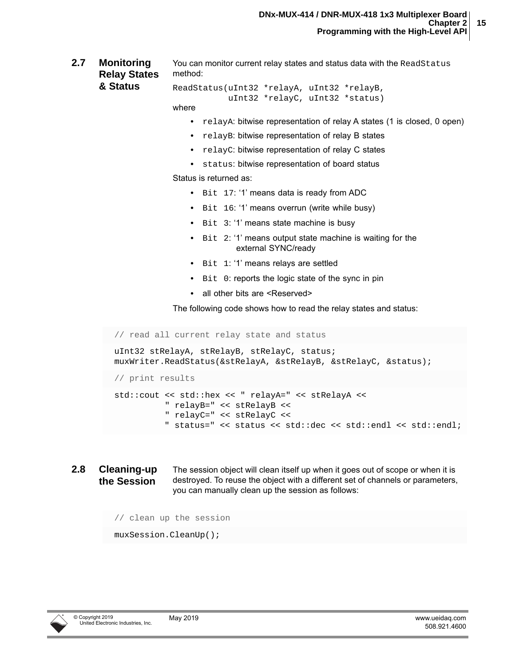<span id="page-19-0"></span>**2.7 Monitoring Relay States & Status** You can monitor current relay states and status data with the ReadStatus method:

ReadStatus(uInt32 \*relayA, uInt32 \*relayB, uInt32 \*relayC, uInt32 \*status)

- where
	- relayA: bitwise representation of relay A states (1 is closed, 0 open)
	- **•** relayB: bitwise representation of relay B states
	- **•** relayC: bitwise representation of relay C states
	- **•** status: bitwise representation of board status

Status is returned as:

- **•** Bit 17: '1' means data is ready from ADC
- **•** Bit 16: '1' means overrun (write while busy)
- **•** Bit 3: '1' means state machine is busy
- **•** Bit 2: '1' means output state machine is waiting for the external SYNC/ready
- **•** Bit 1: '1' means relays are settled
- **•** Bit 0: reports the logic state of the sync in pin
- all other bits are <Reserved>

The following code shows how to read the relay states and status:

// read all current relay state and status uInt32 stRelayA, stRelayB, stRelayC, status; muxWriter.ReadStatus(&stRelayA, &stRelayB, &stRelayC, &status); // print results std::cout << std::hex << " relayA=" << stRelayA << " relayB=" << stRelayB << " relayC=" << stRelayC <<

- " status=" << status << std::dec << std::endl << std::endl;
- <span id="page-19-1"></span>**2.8 Cleaning-up the Session** The session object will clean itself up when it goes out of scope or when it is destroyed. To reuse the object with a different set of channels or parameters, you can manually clean up the session as follows:

```
// clean up the session
```

```
muxSession.CleanUp();
```
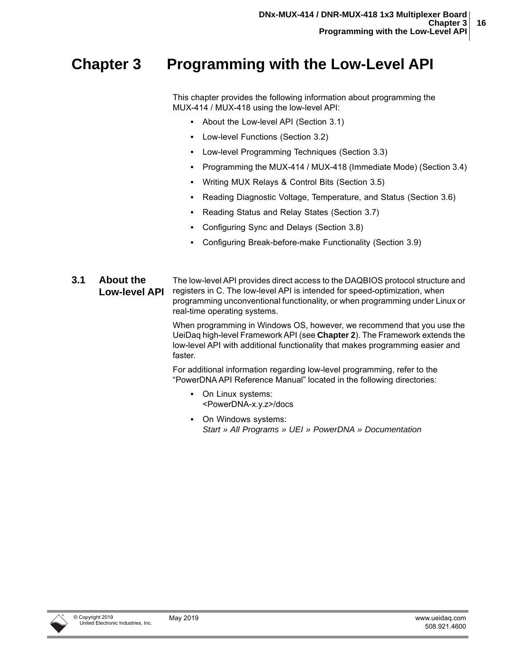### <span id="page-20-0"></span>**Chapter 3 Programming with the Low-Level API**

This chapter provides the following information about programming the MUX-414 / MUX-418 using the low-level API:

- **•** [About the Low-level API \(Section 3.1\)](#page-20-1)
- **•** [Low-level Functions \(Section 3.2](#page-21-0))
- **•** [Low-level Programming Techniques](#page-21-1) ([Section 3.3](#page-21-1))
- **•** [Programming the MUX-414 / MUX-418 \(Immediate Mode\)](#page-22-0) [\(Section 3.4\)](#page-22-0)
- **•** [Writing MUX Relays & Control Bits](#page-22-1) ([Section 3.5](#page-22-1))
- **•** [Reading Diagnostic Voltage, Temperature, and Status](#page-25-0) ([Section 3.6](#page-25-0))
- **•** [Reading Status and Relay States](#page-26-0) [\(Section 3.7\)](#page-26-0)
- **•** [Configuring Sync and Delays](#page-27-0) [\(Section 3.8\)](#page-27-0)
- **•** [Configuring Break-before-make Functionality](#page-29-0) [\(Section 3.9\)](#page-29-0)
- <span id="page-20-1"></span>**3.1 About the Low-level API** The low-level API provides direct access to the DAQBIOS protocol structure and registers in C. The low-level API is intended for speed-optimization, when programming unconventional functionality, or when programming under Linux or real-time operating systems.

When programming in Windows OS, however, we recommend that you use the UeiDaq high-level Framework API (see **[Chapter 2](#page-13-3)**). The Framework extends the low-level API with additional functionality that makes programming easier and faster.

For additional information regarding low-level programming, refer to the "PowerDNA API Reference Manual" located in the following directories:

- **•** On Linux systems: <PowerDNA-x.y.z>/docs
- **•** On Windows systems: *Start » All Programs » UEI » PowerDNA » Documentation*

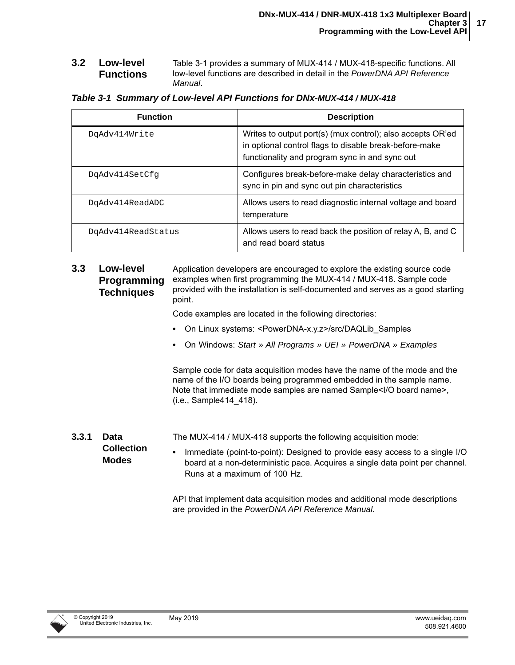<span id="page-21-0"></span>**3.2 Low-level Functions** [Table 3-1](#page-21-3) provides a summary of MUX-414 / MUX-418-specific functions. All low-level functions are described in detail in the *PowerDNA API Reference Manual*.

<span id="page-21-3"></span>

| <b>Function</b>    | <b>Description</b>                                                                                                                                                     |
|--------------------|------------------------------------------------------------------------------------------------------------------------------------------------------------------------|
| DgAdv414Write      | Writes to output port(s) (mux control); also accepts OR'ed<br>in optional control flags to disable break-before-make<br>functionality and program sync in and sync out |
| DgAdv414SetCfg     | Configures break-before-make delay characteristics and<br>sync in pin and sync out pin characteristics                                                                 |
| DgAdv414ReadADC    | Allows users to read diagnostic internal voltage and board<br>temperature                                                                                              |
| DqAdv414ReadStatus | Allows users to read back the position of relay A, B, and C<br>and read board status                                                                                   |

<span id="page-21-1"></span>**3.3 Low-level Programming Techniques** Application developers are encouraged to explore the existing source code examples when first programming the MUX-414 / MUX-418. Sample code provided with the installation is self-documented and serves as a good starting point.

Code examples are located in the following directories:

- **•** On Linux systems: <PowerDNA-x.y.z>/src/DAQLib\_Samples
- **•** On Windows: *Start » All Programs » UEI » PowerDNA » Examples*

Sample code for data acquisition modes have the name of the mode and the name of the I/O boards being programmed embedded in the sample name. Note that immediate mode samples are named Sample<I/O board name>, (i.e., Sample414\_418).

<span id="page-21-2"></span>**3.3.1 Data Collection Modes** The MUX-414 / MUX-418 supports the following acquisition mode: **•** Immediate (point-to-point): Designed to provide easy access to a single I/O board at a non-deterministic pace. Acquires a single data point per channel. Runs at a maximum of 100 Hz.

> <span id="page-21-4"></span>API that implement data acquisition modes and additional mode descriptions are provided in the *PowerDNA API Reference Manual*.

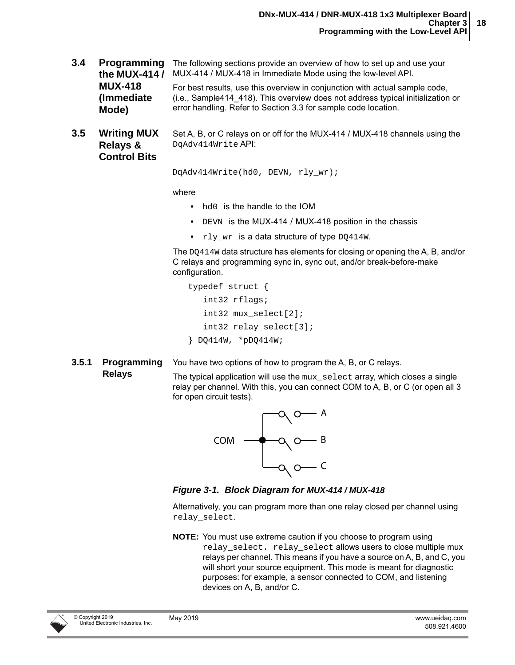- <span id="page-22-0"></span>**3.4 Programming** The following sections provide an overview of how to set up and use your **the MUX-414 /**  MUX-414 / MUX-418 in Immediate Mode using the low-level API. **MUX-418 (Immediate Mode)** For best results, use this overview in conjunction with actual sample code, (i.e., Sample414\_418). This overview does not address typical initialization or error handling. Refer to [Section 3.3](#page-21-1) for sample code location.
- <span id="page-22-1"></span>**3.5 Writing MUX Relays & Control Bits** Set A, B, or C relays on or off for the MUX-414 / MUX-418 channels using the DqAdv414Write API:

```
 DqAdv414Write(hd0, DEVN, rly_wr);
```
where

- **•** hd0 is the handle to the IOM
- **•** DEVN is the MUX-414 / MUX-418 position in the chassis
- **•** rly\_wr is a data structure of type DQ414W.

The DQ414W data structure has elements for closing or opening the A, B, and/or C relays and programming sync in, sync out, and/or break-before-make configuration.

```
 typedef struct {
    int32 rflags;
    int32 mux_select[2];
    int32 relay_select[3];
 } DQ414W, *pDQ414W;
```
<span id="page-22-2"></span>**3.5.1 Programming**  You have two options of how to program the A, B, or C relays.

#### **Relays**

The typical application will use the  $mxx$  select array, which closes a single relay per channel. With this, you can connect COM to A, B, or C (or open all 3 for open circuit tests).



<span id="page-22-3"></span>*Figure 3-1. Block Diagram for MUX-414 / MUX-418*

Alternatively, you can program more than one relay closed per channel using relay\_select.

**NOTE:** You must use extreme caution if you choose to program using relay select. relay select allows users to close multiple mux relays per channel. This means if you have a source on A, B, and C, you will short your source equipment. This mode is meant for diagnostic purposes: for example, a sensor connected to COM, and listening devices on A, B, and/or C.

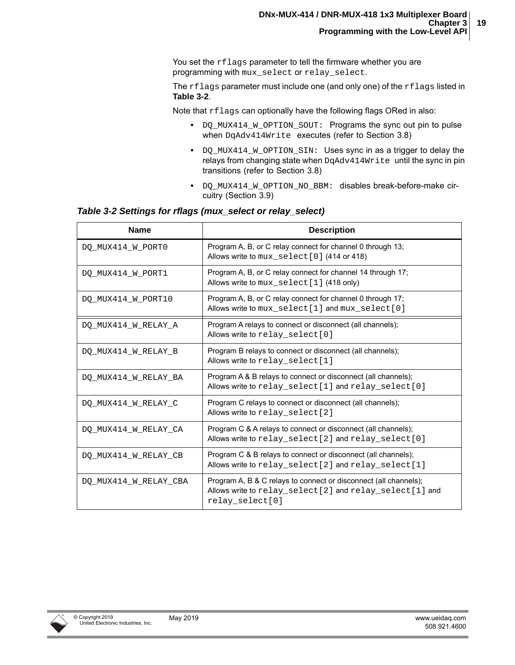You set the rflags parameter to tell the firmware whether you are programming with mux\_select or relay\_select.

The rflags parameter must include one (and only one) of the rflags listed in **[Table 3-2](#page-23-0)**.

Note that rflags can optionally have the following flags ORed in also:

- **•** DQ\_MUX414\_W\_OPTION\_SOUT: Programs the sync out pin to pulse when DqAdv414Write executes (refer to [Section 3.8](#page-27-0))
- **•** DQ\_MUX414\_W\_OPTION\_SIN: Uses sync in as a trigger to delay the relays from changing state when DqAdv414Write until the sync in pin transitions (refer to [Section 3.8](#page-27-0))
- **•** DQ\_MUX414\_W\_OPTION\_NO\_BBM: disables break-before-make circuitry ([Section 3.9](#page-29-0))

#### <span id="page-23-0"></span>*Table 3-2 Settings for rflags (mux\_select or relay\_select)*

| <b>Name</b>           | <b>Description</b>                                                                                                                             |
|-----------------------|------------------------------------------------------------------------------------------------------------------------------------------------|
| DQ_MUX414_W_PORT0     | Program A, B, or C relay connect for channel 0 through 13;<br>Allows write to mux_select[0] (414 or 418)                                       |
| DO MUX414 W PORT1     | Program A, B, or C relay connect for channel 14 through 17;<br>Allows write to mux_select [1] (418 only)                                       |
| DO MUX414 W PORT10    | Program A, B, or C relay connect for channel 0 through 17;<br>Allows write to mux select [1] and mux select [0]                                |
| DO MUX414 W RELAY A   | Program A relays to connect or disconnect (all channels);<br>Allows write to relay select [0]                                                  |
| DO MUX414 W RELAY B   | Program B relays to connect or disconnect (all channels);<br>Allows write to relay_select[1]                                                   |
| DO MUX414 W RELAY BA  | Program A & B relays to connect or disconnect (all channels);<br>Allows write to relay_select[1] and relay_select[0]                           |
| DO MUX414 W RELAY C   | Program C relays to connect or disconnect (all channels);<br>Allows write to relay_select [2]                                                  |
| DO MUX414 W RELAY CA  | Program C & A relays to connect or disconnect (all channels);<br>Allows write to relay_select[2] and relay_select[0]                           |
| DO MUX414 W RELAY CB  | Program C & B relays to connect or disconnect (all channels);<br>Allows write to relay_select[2] and relay_select[1]                           |
| DO MUX414 W RELAY CBA | Program A, B & C relays to connect or disconnect (all channels);<br>Allows write to relay_select[2] and relay_select[1] and<br>relay select[0] |

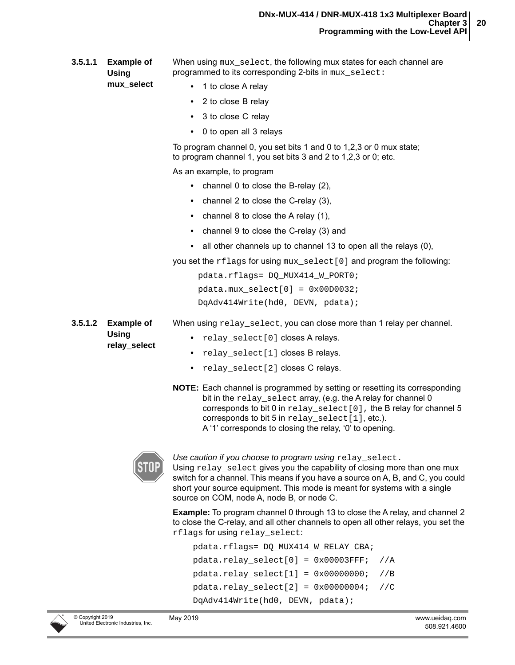**3.5.1.1 Example of Using**  When using  $mux$  select, the following mux states for each channel are programmed to its corresponding 2-bits in  $mux$  select:

- **•** 1 to close A relay
	- **•** 2 to close B relay
	- **•** 3 to close C relay
	- **•** 0 to open all 3 relays

To program channel 0, you set bits 1 and 0 to 1,2,3 or 0 mux state; to program channel 1, you set bits 3 and 2 to 1,2,3 or 0; etc.

As an example, to program

- **•** channel 0 to close the B-relay (2),
- **•** channel 2 to close the C-relay (3),
- **•** channel 8 to close the A relay (1),
- **•** channel 9 to close the C-relay (3) and
- **•** all other channels up to channel 13 to open all the relays (0),

you set the  $rflags$  for using  $mux$  select [0] and program the following:

When using relay\_select, you can close more than 1 relay per channel.

 pdata.rflags= DQ\_MUX414\_W\_PORT0;  $pdata.mux select[0] = 0x00D0032;$ DqAdv414Write(hd0, DEVN, pdata);

**3.5.1.2 Example of Using relay\_select** 

**mux\_select** 

- **•** relay\_select[0] closes A relays.
- **•** relay\_select[1] closes B relays.
- **•** relay\_select[2] closes C relays.
- **NOTE:** Each channel is programmed by setting or resetting its corresponding bit in the relay\_select array, (e.g. the A relay for channel 0 corresponds to bit 0 in  $relay\_select[0]$ , the B relay for channel 5 corresponds to bit 5 in  $relay\_select[1]$ , etc.). A '1' corresponds to closing the relay, '0' to opening.



*Use caution if you choose to program using* relay\_select.

Using  $relay$  select gives you the capability of closing more than one mux switch for a channel. This means if you have a source on A, B, and C, you could short your source equipment. This mode is meant for systems with a single source on COM, node A, node B, or node C.

**Example:** To program channel 0 through 13 to close the A relay, and channel 2 to close the C-relay, and all other channels to open all other relays, you set the rflags for using relay\_select:

```
 pdata.rflags= DQ_MUX414_W_RELAY_CBA; 
pdata.relay select[0] = 0x00003FFF; //A
pdata.relay select[1] = 0x00000000; //B
 pdata.relay_select[2] = 0x00000004; //C
 DqAdv414Write(hd0, DEVN, pdata);
```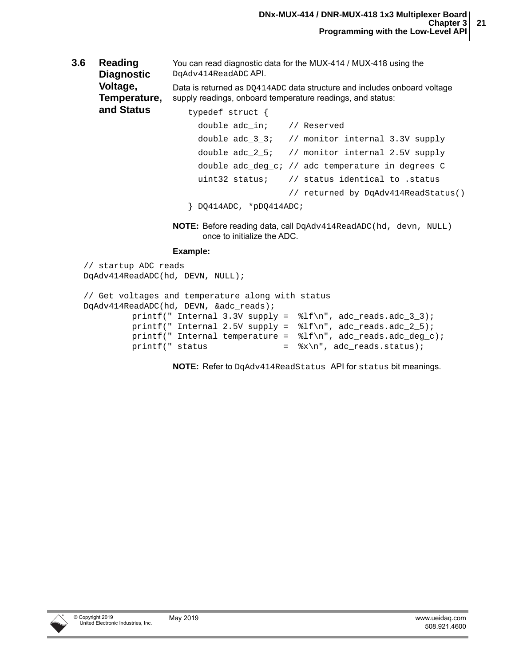<span id="page-25-0"></span>**3.6 Reading Diagnostic Voltage,**  You can read diagnostic data for the MUX-414 / MUX-418 using the DqAdv414ReadADC API.

**Temperature,**  Data is returned as DQ414ADC data structure and includes onboard voltage supply readings, onboard temperature readings, and status:

**and Status** typedef struct {

```
double adc in; // Reserved
  double adc_3_3; // monitor internal 3.3V supply
  double adc_2_5; // monitor internal 2.5V supply
  double adc_deg_c; // adc temperature in degrees C
  uint32 status; // status identical to .status 
                    // returned by DqAdv414ReadStatus()
 } DQ414ADC, *pDQ414ADC;
```
**NOTE:** Before reading data, call DqAdv414ReadADC(hd, devn, NULL) once to initialize the ADC.

#### **Example:**

```
// startup ADC reads
DqAdv414ReadADC(hd, DEVN, NULL);
// Get voltages and temperature along with status
DqAdv414ReadADC(hd, DEVN, &adc_reads);
         printf(" Internal 3.3V supply = l f(n", add_reads.add_3; ...);
         printf(" Internal 2.5V supply = l f(n), adc_reads.adc_2_5);
         printf(" Internal temperature = l f(n), adc_reads.adc_deg_c);
         printf(" status = \sqrt[3]{n}, adc_reads.status);
```
**NOTE:** Refer to DqAdv414ReadStatus API for status bit meanings.

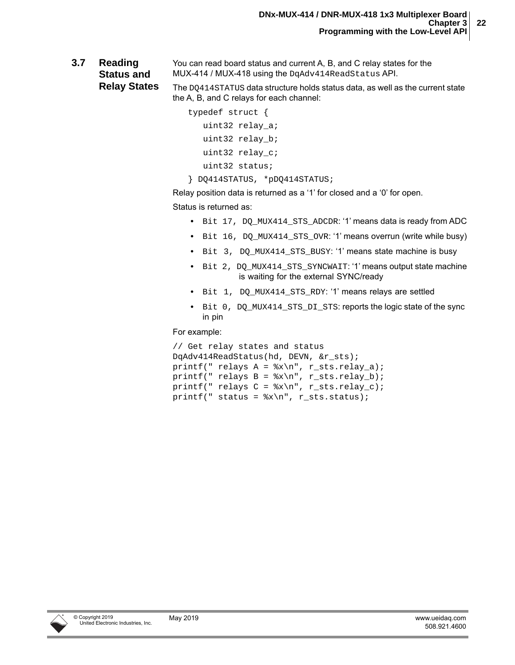<span id="page-26-0"></span>**3.7 Reading Status and**  You can read board status and current A, B, and C relay states for the MUX-414 / MUX-418 using the DqAdv414ReadStatus API.

**Relay States**

The DQ414STATUS data structure holds status data, as well as the current state the A, B, and C relays for each channel:

```
 typedef struct {
    uint32 relay_a;
    uint32 relay_b;
    uint32 relay_c;
    uint32 status;
```
} DQ414STATUS, \*pDQ414STATUS;

Relay position data is returned as a '1' for closed and a '0' for open.

Status is returned as:

- **•** Bit 17, DQ\_MUX414\_STS\_ADCDR: '1' means data is ready from ADC
- Bit 16, DQ MUX414 STS OVR: '1' means overrun (write while busy)
- **•** Bit 3, DQ\_MUX414\_STS\_BUSY: '1' means state machine is busy
- **•** Bit 2, DQ\_MUX414\_STS\_SYNCWAIT: '1' means output state machine is waiting for the external SYNC/ready
- **•** Bit 1, DQ\_MUX414\_STS\_RDY: '1' means relays are settled
- **•** Bit 0, DQ\_MUX414\_STS\_DI\_STS: reports the logic state of the sync in pin

For example:

```
// Get relay states and status
DqAdv414ReadStatus(hd, DEVN, &r_sts);
printf(" relays A = \frac{x}{n}, r_sts.relay_a);
printf(" relays B = \frac{x}{n}, r_sts.relay_b);
printf(" relays C = \frac{x}{n}, r_sts.relay_c);
printf(" status = x\n", r sts.status);
```
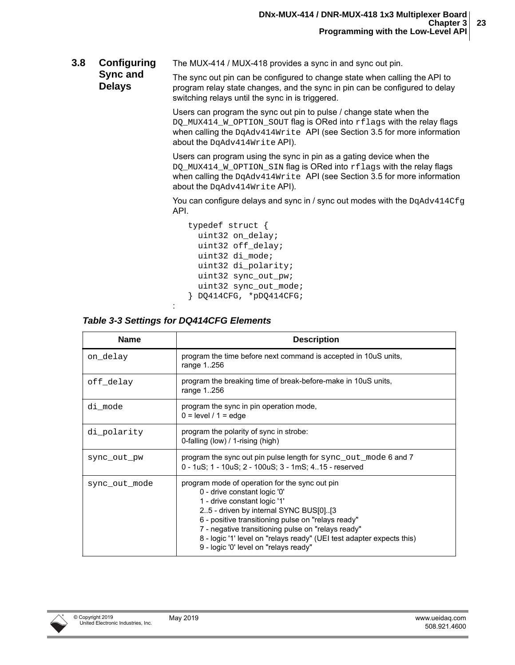<span id="page-27-0"></span>**3.8 Configuring**  The MUX-414 / MUX-418 provides a sync in and sync out pin.

**Sync and Delays** The sync out pin can be configured to change state when calling the API to program relay state changes, and the sync in pin can be configured to delay switching relays until the sync in is triggered.

> Users can program the sync out pin to pulse / change state when the DO MUX414 W OPTION SOUT flag is ORed into rflags with the relay flags when calling the DqAdv414Write API (see [Section 3.5](#page-22-1) for more information about the DqAdv414Write API).

> Users can program using the sync in pin as a gating device when the DQ\_MUX414\_W\_OPTION\_SIN flag is ORed into rflags with the relay flags when calling the DqAdv414Write API (see [Section 3.5](#page-22-1) for more information about the DqAdv414Write API).

You can configure delays and sync in / sync out modes with the  $DqAdy414Cfq$ API.

```
 typedef struct {
   uint32 on_delay; 
   uint32 off_delay; 
   uint32 di_mode; 
   uint32 di_polarity; 
   uint32 sync_out_pw; 
  uint32 sync out mode;
 } DQ414CFG, *pDQ414CFG;
```
#### : *Table 3-3 Settings for DQ414CFG Elements*

| <b>Name</b>   | <b>Description</b>                                                                                                                                                                                                                                                                                                                                                                    |
|---------------|---------------------------------------------------------------------------------------------------------------------------------------------------------------------------------------------------------------------------------------------------------------------------------------------------------------------------------------------------------------------------------------|
| on_delay      | program the time before next command is accepted in 10uS units,<br>range 1256                                                                                                                                                                                                                                                                                                         |
| off delay     | program the breaking time of break-before-make in 10uS units,<br>range 1256                                                                                                                                                                                                                                                                                                           |
| di mode       | program the sync in pin operation mode,<br>$0 = level / 1 = edge$                                                                                                                                                                                                                                                                                                                     |
| di polarity   | program the polarity of sync in strobe:<br>0-falling (low) / 1-rising (high)                                                                                                                                                                                                                                                                                                          |
| sync_out_pw   | program the sync out pin pulse length for sync out mode 6 and 7<br>0 - 1uS; 1 - 10uS; 2 - 100uS; 3 - 1mS; 415 - reserved                                                                                                                                                                                                                                                              |
| sync out mode | program mode of operation for the sync out pin<br>0 - drive constant logic '0'<br>1 - drive constant logic '1'<br>25 - driven by internal SYNC BUS[0][3<br>6 - positive transitioning pulse on "relays ready"<br>7 - negative transitioning pulse on "relays ready"<br>8 - logic '1' level on "relays ready" (UEI test adapter expects this)<br>9 - logic '0' level on "relays ready" |

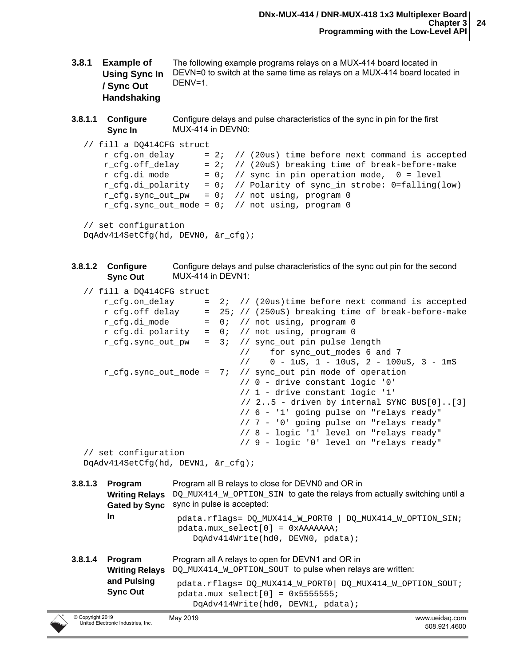- <span id="page-28-0"></span>**3.8.1 Example of Using Sync In / Sync Out Handshaking** The following example programs relays on a MUX-414 board located in DEVN=0 to switch at the same time as relays on a MUX-414 board located in DENV=1.
- **3.8.1.1 Configure Sync In** Configure delays and pulse characteristics of the sync in pin for the first MUX-414 in DEVN0:

```
// fill a DQ414CFG struct
```

```
r cfg.on delay = 2; // (20us) time before next command is accepted
r cfg.off delay = 2; // (20uS) breaking time of break-before-make
r cfg.di mode = 0; // sync in pin operation mode, 0 = level r_cfg.di_polarity = 0; // Polarity of sync_in strobe: 0=falling(low)
r cfg.sync out pw = 0; // not using, program 0
r cfg.sync out mode = 0; // not using, program 0
```
// set configuration

```
DqAdv414SetCfg(hd, DEVN0, &r_cfg);
```

```
3.8.1.2 Configure 
         Sync Out
                          Configure delays and pulse characteristics of the sync out pin for the second 
                          MUX-414 in DEVN1:
```

```
// fill a DQ414CFG struct
```

```
r cfg.on delay = 2; // (20us)time before next command is accepted
      r cfg.off delay = 25; // (250uS) breaking time of break-before-make
      r cfg.di mode = 0; // not using, program 0
      r_ccfg.di_polarity = 0; // not using, program 0
      r_ccfg.sync_out_pw = 3; // sync_out pin pulse length
                                   // for sync out modes 6 and 7
                                    // 0 - 1uS, 1 - 10uS, 2 - 100uS, 3 - 1mS
      r cfg.sync out mode = 7; // sync out pin mode of operation
                                    // 0 - drive constant logic '0'
                                    // 1 - drive constant logic '1'
                                    // 2..5 - driven by internal SYNC BUS[0]..[3]
                                    // 6 - '1' going pulse on "relays ready"
                                    // 7 - '0' going pulse on "relays ready"
                                    // 8 - logic '1' level on "relays ready"
                                    // 9 - logic '0' level on "relays ready"
  // set configuration
  DqAdv414SetCfg(hd, DEVN1, &r_cfg); 
3.8.1.3 Program 
       Writing Relays DQ_MUX414_M_OPTION_SIN to gate the relays from actually switching until a
       Gated by Sync sync in pulse is accepted:
       In
                     Program all B relays to close for DEVN0 and OR in 
                       pdata.rflags= DQ_MUX414_W_PORT0 | DQ_MUX414_W_OPTION_SIN; 
                       pdata.mux_select[0] = 0xAAAAAAA;
                          DqAdv414Write(hd0, DEVN0, pdata);
3.8.1.4 Program 
       Writing Relays DQ_MUX414_M_OPTION_SOUT to pulse when relays are written:
       and Pulsing 
       Sync Out
                     Program all A relays to open for DEVN1 and OR in 
                      pdata.rflags= DQ_MUX414_W_PORT0| DQ_MUX414_W_OPTION_SOUT; 
                      pdata.mux select[0] = 0x55555555;
                          DqAdv414Write(hd0, DEVN1, pdata);
```
May 2019 www.ueidaq.com 508.921.4600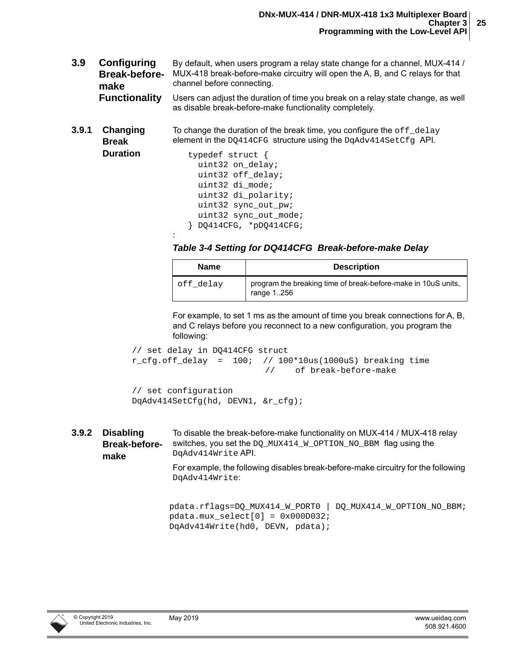- <span id="page-29-0"></span>**3.9 Configuring Break-beforemake Functionality** By default, when users program a relay state change for a channel, MUX-414 / MUX-418 break-before-make circuitry will open the A, B, and C relays for that channel before connecting. Users can adjust the duration of time you break on a relay state change, as well as disable break-before-make functionality completely.
- <span id="page-29-1"></span>**3.9.1 Changing Break**  To change the duration of the break time, you configure the  $\text{off}\$  delay element in the DO414CFG structure using the DgAdv414SetCfg API.
	- **Duration** typedef struct { uint32 on\_delay; uint32 off\_delay; uint32 di\_mode; uint32 di\_polarity; uint32 sync\_out\_pw; uint32 sync out mode; } DQ414CFG, \*pDQ414CFG; :
		- *Table 3-4 Setting for DQ414CFG Break-before-make Delay*

| <b>Name</b> | <b>Description</b>                                                          |
|-------------|-----------------------------------------------------------------------------|
| off delay   | program the breaking time of break-before-make in 10uS units,<br>range 1256 |

For example, to set 1 ms as the amount of time you break connections for A, B, and C relays before you reconnect to a new configuration, you program the following:

```
// set delay in DQ414CFG struct
r_ccfg.off_delay = 100; // 100*10us(1000uS) breaking time
                          // of break-before-make
// set configuration
```
DqAdv414SetCfg(hd, DEVN1, &r\_cfg);

DqAdv414Write:

<span id="page-29-2"></span>**3.9.2 Disabling Break-beforemake**  To disable the break-before-make functionality on MUX-414 / MUX-418 relay switches, you set the DQ\_MUX414\_W\_OPTION\_NO\_BBM\_flag using the DqAdv414Write API. For example, the following disables break-before-make circuitry for the following

pdata.rflags=DQ\_MUX414\_W\_PORT0 | DQ\_MUX414\_W\_OPTION\_NO\_BBM;

pdata.mux  $select[0] = 0x000D032$ ; DqAdv414Write(hd0, DEVN, pdata);

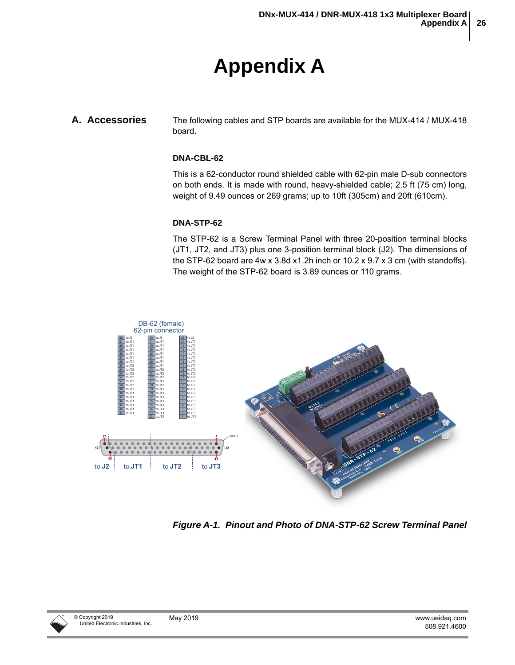# **Appendix A**

#### <span id="page-30-1"></span><span id="page-30-0"></span>**A. Accessories** The following cables and STP boards are available for the MUX-414 / MUX-418 board.

#### <span id="page-30-3"></span>**DNA-CBL-62**

This is a 62-conductor round shielded cable with 62-pin male D-sub connectors on both ends. It is made with round, heavy-shielded cable; 2.5 ft (75 cm) long, weight of 9.49 ounces or 269 grams; up to 10ft (305cm) and 20ft (610cm).

#### **DNA-STP-62**

The STP-62 is a Screw Terminal Panel with three 20-position terminal blocks (JT1, JT2, and JT3) plus one 3-position terminal block (J2). The dimensions of the STP-62 board are 4w x 3.8d x1.2h inch or 10.2 x 9.7 x 3 cm (with standoffs). The weight of the STP-62 board is 3.89 ounces or 110 grams.



<span id="page-30-2"></span>*Figure A-1. Pinout and Photo of DNA-STP-62 Screw Terminal Panel*